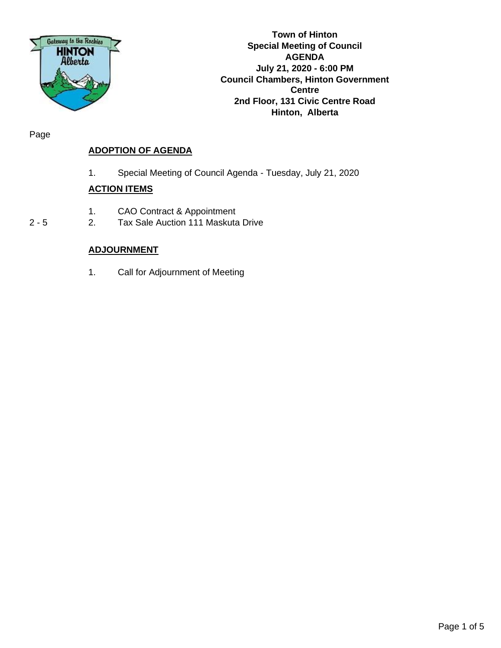

**Town of Hinton Special Meeting of Council AGENDA July 21, 2020 - 6:00 PM Council Chambers, Hinton Government Centre 2nd Floor, 131 Civic Centre Road Hinton, Alberta**

Page

# **ADOPTION OF AGENDA**

1. Special Meeting of Council Agenda - Tuesday, July 21, 2020

## **ACTION ITEMS**

- 1. CAO Contract & Appointment
- 2 5 2. Tax Sale Auction 111 Maskuta Drive

## **ADJOURNMENT**

1. Call for Adjournment of Meeting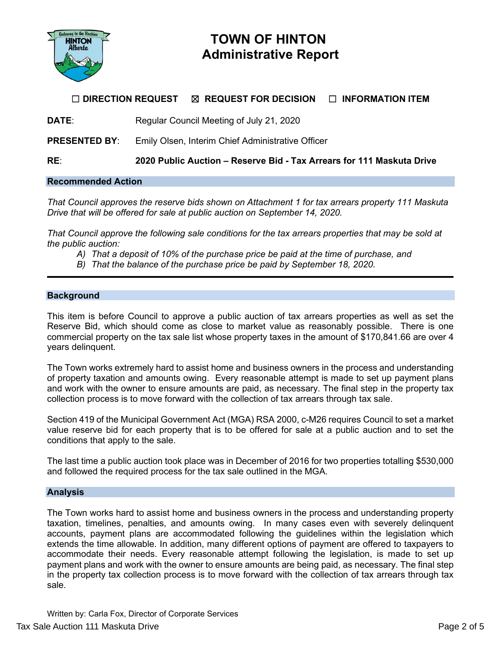

# **TOWN OF HINTON Administrative Report**

## ☐ **DIRECTION REQUEST** ☒ **REQUEST FOR DECISION** ☐ **INFORMATION ITEM**

**DATE:** Regular Council Meeting of July 21, 2020

**PRESENTED BY:** Emily Olsen, Interim Chief Administrative Officer

**RE**: **2020 Public Auction – Reserve Bid - Tax Arrears for 111 Maskuta Drive**

## **Recommended Action**

*That Council approves the reserve bids shown on Attachment 1 for tax arrears property 111 Maskuta Drive that will be offered for sale at public auction on September 14, 2020.*

*That Council approve the following sale conditions for the tax arrears properties that may be sold at the public auction:*

- *A) That a deposit of 10% of the purchase price be paid at the time of purchase, and*
- *B) That the balance of the purchase price be paid by September 18, 2020.*

#### **Background**

This item is before Council to approve a public auction of tax arrears properties as well as set the Reserve Bid, which should come as close to market value as reasonably possible. There is one commercial property on the tax sale list whose property taxes in the amount of \$170,841.66 are over 4 years delinquent.

The Town works extremely hard to assist home and business owners in the process and understanding of property taxation and amounts owing. Every reasonable attempt is made to set up payment plans and work with the owner to ensure amounts are paid, as necessary. The final step in the property tax collection process is to move forward with the collection of tax arrears through tax sale.

Section 419 of the Municipal Government Act (MGA) RSA 2000, c-M26 requires Council to set a market value reserve bid for each property that is to be offered for sale at a public auction and to set the conditions that apply to the sale.

The last time a public auction took place was in December of 2016 for two properties totalling \$530,000 and followed the required process for the tax sale outlined in the MGA.

#### **Analysis**

The Town works hard to assist home and business owners in the process and understanding property taxation, timelines, penalties, and amounts owing. In many cases even with severely delinquent accounts, payment plans are accommodated following the guidelines within the legislation which extends the time allowable. In addition, many different options of payment are offered to taxpayers to accommodate their needs. Every reasonable attempt following the legislation, is made to set up payment plans and work with the owner to ensure amounts are being paid, as necessary. The final step in the property tax collection process is to move forward with the collection of tax arrears through tax sale.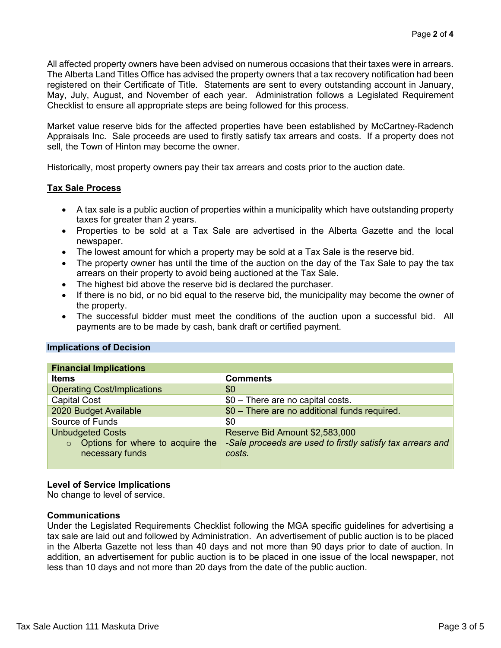All affected property owners have been advised on numerous occasions that their taxes were in arrears. The Alberta Land Titles Office has advised the property owners that a tax recovery notification had been registered on their Certificate of Title. Statements are sent to every outstanding account in January, May, July, August, and November of each year. Administration follows a Legislated Requirement Checklist to ensure all appropriate steps are being followed for this process.

Market value reserve bids for the affected properties have been established by McCartney-Radench Appraisals Inc. Sale proceeds are used to firstly satisfy tax arrears and costs. If a property does not sell, the Town of Hinton may become the owner.

Historically, most property owners pay their tax arrears and costs prior to the auction date.

## **Tax Sale Process**

- A tax sale is a public auction of properties within a municipality which have outstanding property taxes for greater than 2 years.
- Properties to be sold at a Tax Sale are advertised in the Alberta Gazette and the local newspaper.
- The lowest amount for which a property may be sold at a Tax Sale is the reserve bid.
- The property owner has until the time of the auction on the day of the Tax Sale to pay the tax arrears on their property to avoid being auctioned at the Tax Sale.
- The highest bid above the reserve bid is declared the purchaser.
- If there is no bid, or no bid equal to the reserve bid, the municipality may become the owner of the property.
- The successful bidder must meet the conditions of the auction upon a successful bid. All payments are to be made by cash, bank draft or certified payment.

#### **Implications of Decision**

| <b>Financial Implications</b>               |                                                            |  |  |  |  |
|---------------------------------------------|------------------------------------------------------------|--|--|--|--|
| <b>Items</b>                                | <b>Comments</b>                                            |  |  |  |  |
| <b>Operating Cost/Implications</b>          | \$0                                                        |  |  |  |  |
| <b>Capital Cost</b>                         | \$0 - There are no capital costs.                          |  |  |  |  |
| 2020 Budget Available                       | \$0 - There are no additional funds required.              |  |  |  |  |
| Source of Funds                             | \$0                                                        |  |  |  |  |
| <b>Unbudgeted Costs</b>                     | Reserve Bid Amount \$2,583,000                             |  |  |  |  |
| Options for where to acquire the<br>$\circ$ | -Sale proceeds are used to firstly satisfy tax arrears and |  |  |  |  |
| necessary funds                             | costs.                                                     |  |  |  |  |
|                                             |                                                            |  |  |  |  |

## **Level of Service Implications**

No change to level of service.

#### **Communications**

Under the Legislated Requirements Checklist following the MGA specific guidelines for advertising a tax sale are laid out and followed by Administration. An advertisement of public auction is to be placed in the Alberta Gazette not less than 40 days and not more than 90 days prior to date of auction. In addition, an advertisement for public auction is to be placed in one issue of the local newspaper, not less than 10 days and not more than 20 days from the date of the public auction.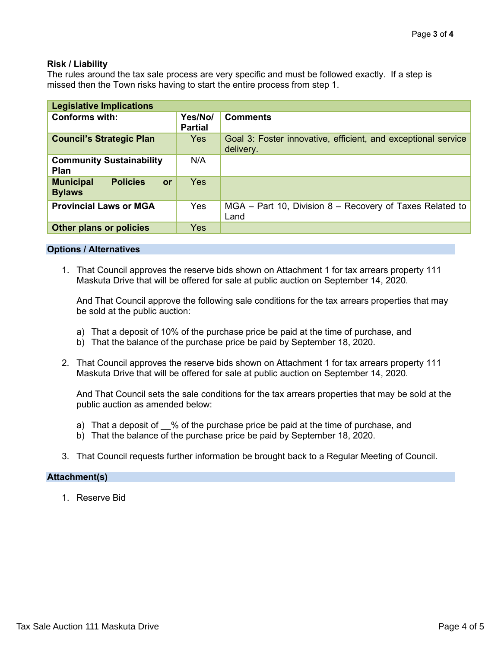### **Risk / Liability**

The rules around the tax sale process are very specific and must be followed exactly. If a step is missed then the Town risks having to start the entire process from step 1.

| <b>Legislative Implications</b>                            |                           |                                                                            |  |  |  |  |  |
|------------------------------------------------------------|---------------------------|----------------------------------------------------------------------------|--|--|--|--|--|
| <b>Conforms with:</b>                                      | Yes/No/<br><b>Partial</b> | <b>Comments</b>                                                            |  |  |  |  |  |
| <b>Council's Strategic Plan</b>                            | <b>Yes</b>                | Goal 3: Foster innovative, efficient, and exceptional service<br>delivery. |  |  |  |  |  |
| <b>Community Sustainability</b><br>Plan                    | N/A                       |                                                                            |  |  |  |  |  |
| <b>Municipal</b><br><b>Policies</b><br>or<br><b>Bylaws</b> | Yes                       |                                                                            |  |  |  |  |  |
| <b>Provincial Laws or MGA</b>                              | Yes                       | $MGA$ – Part 10, Division 8 – Recovery of Taxes Related to<br>Land         |  |  |  |  |  |
| Other plans or policies                                    | <b>Yes</b>                |                                                                            |  |  |  |  |  |

#### **Options / Alternatives**

1. That Council approves the reserve bids shown on Attachment 1 for tax arrears property 111 Maskuta Drive that will be offered for sale at public auction on September 14, 2020.

And That Council approve the following sale conditions for the tax arrears properties that may be sold at the public auction:

- a) That a deposit of 10% of the purchase price be paid at the time of purchase, and
- b) That the balance of the purchase price be paid by September 18, 2020.
- 2. That Council approves the reserve bids shown on Attachment 1 for tax arrears property 111 Maskuta Drive that will be offered for sale at public auction on September 14, 2020.

And That Council sets the sale conditions for the tax arrears properties that may be sold at the public auction as amended below:

- a) That a deposit of  $\%$  of the purchase price be paid at the time of purchase, and
- b) That the balance of the purchase price be paid by September 18, 2020.
- 3. That Council requests further information be brought back to a Regular Meeting of Council.

#### **Attachment(s)**

1. Reserve Bid